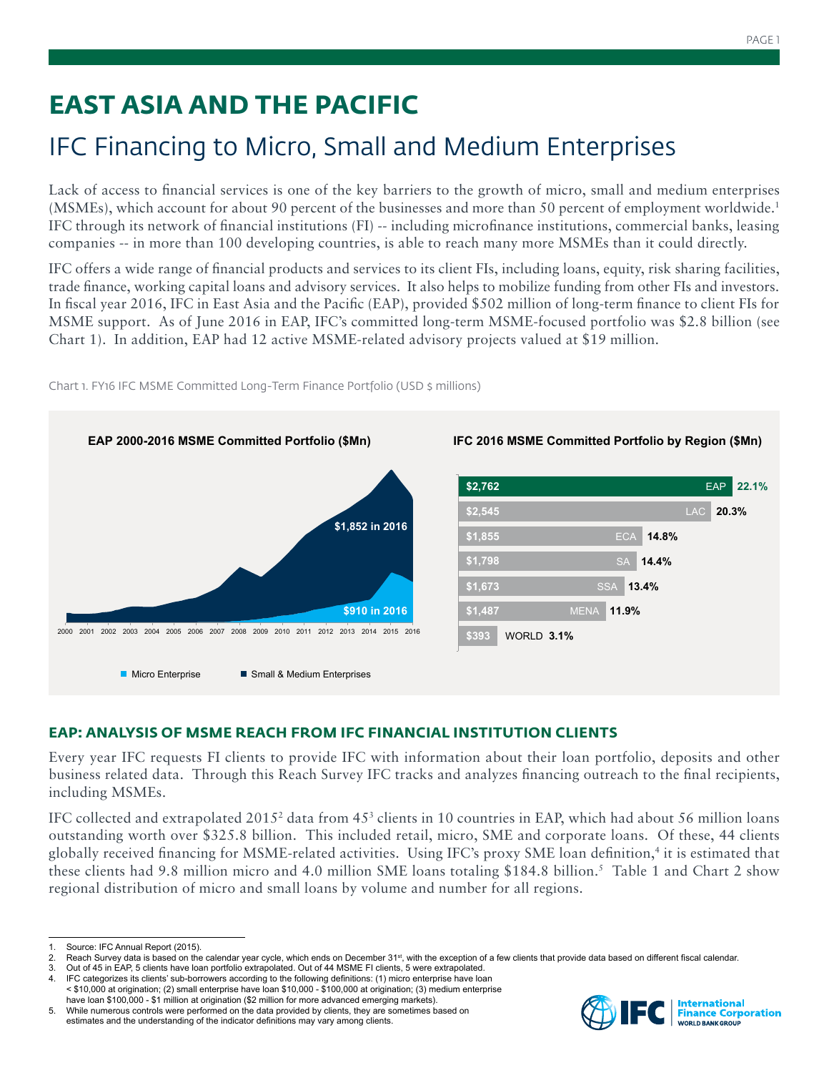# **EAST ASIA AND THE PACIFIC**

# IFC Financing to Micro, Small and Medium Enterprises

Lack of access to financial services is one of the key barriers to the growth of micro, small and medium enterprises (MSMEs), which account for about 90 percent of the businesses and more than 50 percent of employment worldwide.1 IFC through its network of financial institutions (FI) -- including microfinance institutions, commercial banks, leasing companies -- in more than 100 developing countries, is able to reach many more MSMEs than it could directly.

IFC offers a wide range of financial products and services to its client FIs, including loans, equity, risk sharing facilities, trade finance, working capital loans and advisory services. It also helps to mobilize funding from other FIs and investors. In fiscal year 2016, IFC in East Asia and the Pacific (EAP), provided \$502 million of long-term finance to client FIs for MSME support. As of June 2016 in EAP, IFC's committed long-term MSME-focused portfolio was \$2.8 billion (see Chart 1). In addition, EAP had 12 active MSME-related advisory projects valued at \$19 million.



Chart 1. FY16 IFC MSME Committed Long-Term Finance Portfolio (USD \$ millions)

# **EAP: ANALYSIS OF MSME REACH FROM IFC FINANCIAL INSTITUTION CLIENTS**

Every year IFC requests FI clients to provide IFC with information about their loan portfolio, deposits and other business related data. Through this Reach Survey IFC tracks and analyzes financing outreach to the final recipients, including MSMEs.

IFC collected and extrapolated 2015<sup>2</sup> data from  $45^3$  clients in 10 countries in EAP, which had about 56 million loans outstanding worth over \$325.8 billion. This included retail, micro, SME and corporate loans. Of these, 44 clients globally received financing for MSME-related activities. Using IFC's proxy SME loan definition,4 it is estimated that these clients had 9.8 million micro and 4.0 million SME loans totaling \$184.8 billion.<sup>5</sup> Table 1 and Chart 2 show regional distribution of micro and small loans by volume and number for all regions.



<sup>1.</sup> Source: IFC Annual Report (2015).<br>2. Reach Survey data is based on the

Reach Survey data is based on the calendar year cycle, which ends on December 31<sup>st</sup>, with the exception of a few clients that provide data based on different fiscal calendar.

<sup>3.</sup> Out of 45 in EAP, 5 clients have loan portfolio extrapolated. Out of 44 MSME FI clients, 5 were extrapolated.<br>4. IFC categorizes its clients' sub-borrowers according to the following definitions: (1) micro enterprise ha

<sup>4.</sup> IFC categorizes its clients' sub-borrowers according to the following definitions: (1) micro enterprise have loan < \$10,000 at origination; (2) small enterprise have loan \$10,000 - \$100,000 at origination; (3) medium enterprise have loan \$100,000 - \$1 million at origination (\$2 million for more advanced emerging markets).

<sup>5.</sup> While numerous controls were performed on the data provided by clients, they are sometimes based on estimates and the understanding of the indicator definitions may vary among clients.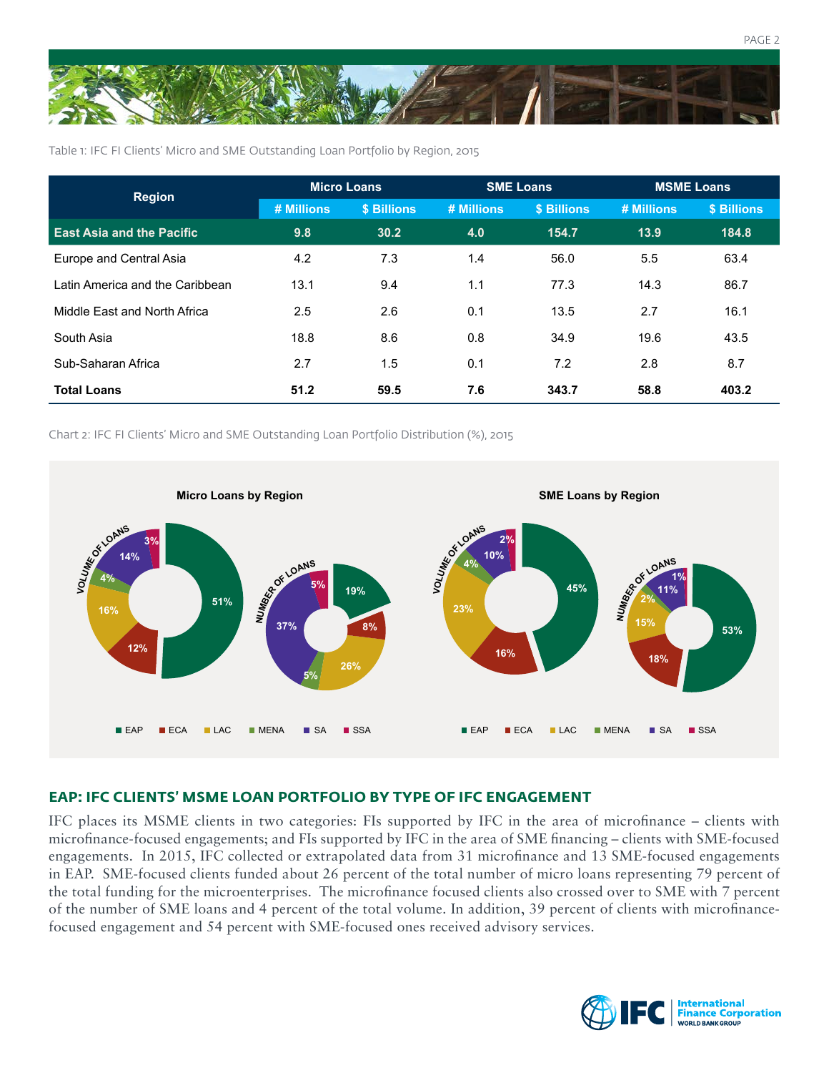

Table 1: IFC FI Clients' Micro and SME Outstanding Loan Portfolio by Region, 2015

| <b>Region</b>                    | <b>Micro Loans</b> |             | <b>SME Loans</b> |             | <b>MSME Loans</b> |             |
|----------------------------------|--------------------|-------------|------------------|-------------|-------------------|-------------|
|                                  | # Millions         | \$ Billions | # Millions       | \$ Billions | # Millions        | \$ Billions |
| <b>East Asia and the Pacific</b> | 9.8                | 30.2        | 4.0              | 154.7       | 13.9              | 184.8       |
| Europe and Central Asia          | 4.2                | 7.3         | 1.4              | 56.0        | 5.5               | 63.4        |
| Latin America and the Caribbean  | 13.1               | 9.4         | 1.1              | 77.3        | 14.3              | 86.7        |
| Middle East and North Africa     | 2.5                | 2.6         | 0.1              | 13.5        | 2.7               | 16.1        |
| South Asia                       | 18.8               | 8.6         | 0.8              | 34.9        | 19.6              | 43.5        |
| Sub-Saharan Africa               | 2.7                | 1.5         | 0.1              | 7.2         | 2.8               | 8.7         |
| <b>Total Loans</b>               | 51.2               | 59.5        | 7.6              | 343.7       | 58.8              | 403.2       |

Chart 2: IFC FI Clients' Micro and SME Outstanding Loan Portfolio Distribution (%), 2015



## **EAP: IFC CLIENTS' MSME LOAN PORTFOLIO BY TYPE OF IFC ENGAGEMENT**

IFC places its MSME clients in two categories: FIs supported by IFC in the area of microfinance – clients with microfinance-focused engagements; and FIs supported by IFC in the area of SME financing – clients with SME-focused engagements. In 2015, IFC collected or extrapolated data from 31 microfinance and 13 SME-focused engagements in EAP. SME-focused clients funded about 26 percent of the total number of micro loans representing 79 percent of the total funding for the microenterprises. The microfinance focused clients also crossed over to SME with 7 percent of the number of SME loans and 4 percent of the total volume. In addition, 39 percent of clients with microfinancefocused engagement and 54 percent with SME-focused ones received advisory services.

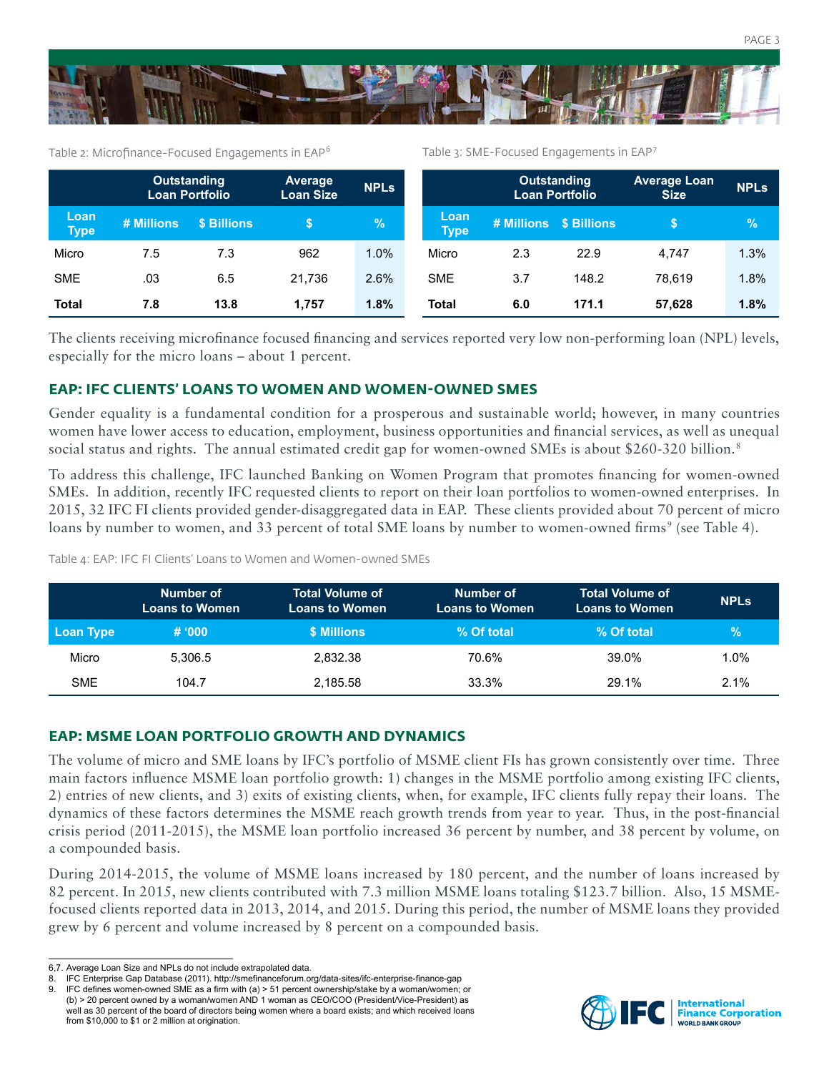



Table 2: Microfinance-Focused Engagements in EAP<sup>6</sup>

Table 3: SME-Focused Engagements in EAP<sup>7</sup>

|                     | <b>Outstanding</b><br>Loan Portfolio |             | <b>Average</b><br><b>Loan Size</b> | <b>NPLs</b> |                     | <b>Outstanding</b><br><b>Loan Portfolio</b> |                        | <b>Average Loan</b><br><b>Size</b> | <b>NPLs</b>   |
|---------------------|--------------------------------------|-------------|------------------------------------|-------------|---------------------|---------------------------------------------|------------------------|------------------------------------|---------------|
| Loan<br><b>Type</b> | # Millions                           | \$ Billions |                                    | $\sqrt{2}$  | Loan<br><b>Type</b> |                                             | # Millions \$ Billions |                                    | $\mathcal{A}$ |
| Micro               | 7.5                                  | 7.3         | 962                                | 1.0%        | Micro               | 2.3                                         | 22.9                   | 4.747                              | 1.3%          |
| <b>SME</b>          | .03                                  | 6.5         | 21.736                             | 2.6%        | <b>SME</b>          | 3.7                                         | 148.2                  | 78.619                             | 1.8%          |
| <b>Total</b>        | 7.8                                  | 13.8        | 1.757                              | 1.8%        | <b>Total</b>        | 6.0                                         | 171.1                  | 57.628                             | 1.8%          |

The clients receiving microfinance focused financing and services reported very low non-performing loan (NPL) levels, especially for the micro loans – about 1 percent.

### **EAP: IFC CLIENTS' LOANS TO WOMEN AND WOMEN-OWNED SMES**

Gender equality is a fundamental condition for a prosperous and sustainable world; however, in many countries women have lower access to education, employment, business opportunities and financial services, as well as unequal social status and rights. The annual estimated credit gap for women-owned SMEs is about \$260-320 billion.<sup>8</sup>

To address this challenge, IFC launched Banking on Women Program that promotes financing for women-owned SMEs. In addition, recently IFC requested clients to report on their loan portfolios to women-owned enterprises. In 2015, 32 IFC FI clients provided gender-disaggregated data in EAP. These clients provided about 70 percent of micro loans by number to women, and 33 percent of total SME loans by number to women-owned firms<sup>9</sup> (see Table 4).

Table 4: EAP: IFC FI Clients' Loans to Women and Women-owned SMEs

|                  | Number of<br><b>Loans to Women</b> | <b>Total Volume of</b><br><b>Loans to Women</b> | Number of<br><b>Loans to Women</b> | <b>Total Volume of</b><br><b>Loans to Women</b> | <b>NPLs</b> |
|------------------|------------------------------------|-------------------------------------------------|------------------------------------|-------------------------------------------------|-------------|
| <b>Loan Type</b> | # 000                              | <b>\$ Millions</b>                              | % Of total                         | % Of total                                      | $\%$        |
| Micro            | 5.306.5                            | 2.832.38                                        | 70.6%                              | 39.0%                                           | 1.0%        |
| <b>SME</b>       | 104.7                              | 2.185.58                                        | 33.3%                              | 29.1%                                           | 2.1%        |

### **EAP: MSME LOAN PORTFOLIO GROWTH AND DYNAMICS**

The volume of micro and SME loans by IFC's portfolio of MSME client FIs has grown consistently over time. Three main factors influence MSME loan portfolio growth: 1) changes in the MSME portfolio among existing IFC clients, 2) entries of new clients, and 3) exits of existing clients, when, for example, IFC clients fully repay their loans. The dynamics of these factors determines the MSME reach growth trends from year to year. Thus, in the post-financial crisis period (2011-2015), the MSME loan portfolio increased 36 percent by number, and 38 percent by volume, on a compounded basis.

During 2014-2015, the volume of MSME loans increased by 180 percent, and the number of loans increased by 82 percent. In 2015, new clients contributed with 7.3 million MSME loans totaling \$123.7 billion. Also, 15 MSMEfocused clients reported data in 2013, 2014, and 2015. During this period, the number of MSME loans they provided grew by 6 percent and volume increased by 8 percent on a compounded basis.



<sup>6,7.</sup> Average Loan Size and NPLs do not include extrapolated data.

<sup>8.</sup> IFC Enterprise Gap Database (2011). http://smefinanceforum.org/data-sites/ifc-enterprise-finance-gap

<sup>9.</sup> IFC defines women-owned SME as a firm with (a) > 51 percent ownership/stake by a woman/women; or (b) > 20 percent owned by a woman/women AND 1 woman as CEO/COO (President/Vice-President) as well as 30 percent of the board of directors being women where a board exists; and which received loans from \$10,000 to \$1 or 2 million at origination.